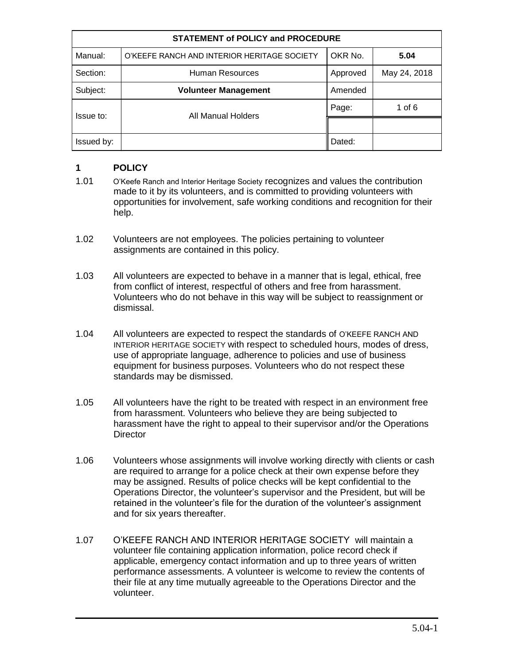| <b>STATEMENT of POLICY and PROCEDURE</b> |                                             |          |              |
|------------------------------------------|---------------------------------------------|----------|--------------|
| Manual:                                  | O'KEEFE RANCH AND INTERIOR HERITAGE SOCIETY | OKR No.  | 5.04         |
| Section:                                 | Human Resources                             | Approved | May 24, 2018 |
| Subject:                                 | <b>Volunteer Management</b>                 | Amended  |              |
| Issue to:                                | All Manual Holders                          | Page:    | 1 of $6$     |
|                                          |                                             |          |              |
| Issued by:                               |                                             | Dated:   |              |

## **1 POLICY**

- 1.01 O'Keefe Ranch and Interior Heritage Society recognizes and values the contribution made to it by its volunteers, and is committed to providing volunteers with opportunities for involvement, safe working conditions and recognition for their help.
- 1.02 Volunteers are not employees. The policies pertaining to volunteer assignments are contained in this policy.
- 1.03 All volunteers are expected to behave in a manner that is legal, ethical, free from conflict of interest, respectful of others and free from harassment. Volunteers who do not behave in this way will be subject to reassignment or dismissal.
- 1.04 All volunteers are expected to respect the standards of O'KEEFE RANCH AND INTERIOR HERITAGE SOCIETY with respect to scheduled hours, modes of dress, use of appropriate language, adherence to policies and use of business equipment for business purposes. Volunteers who do not respect these standards may be dismissed.
- 1.05 All volunteers have the right to be treated with respect in an environment free from harassment. Volunteers who believe they are being subjected to harassment have the right to appeal to their supervisor and/or the Operations **Director**
- 1.06 Volunteers whose assignments will involve working directly with clients or cash are required to arrange for a police check at their own expense before they may be assigned. Results of police checks will be kept confidential to the Operations Director, the volunteer's supervisor and the President, but will be retained in the volunteer's file for the duration of the volunteer's assignment and for six years thereafter.
- 1.07 O'KEEFE RANCH AND INTERIOR HERITAGE SOCIETY will maintain a volunteer file containing application information, police record check if applicable, emergency contact information and up to three years of written performance assessments. A volunteer is welcome to review the contents of their file at any time mutually agreeable to the Operations Director and the volunteer.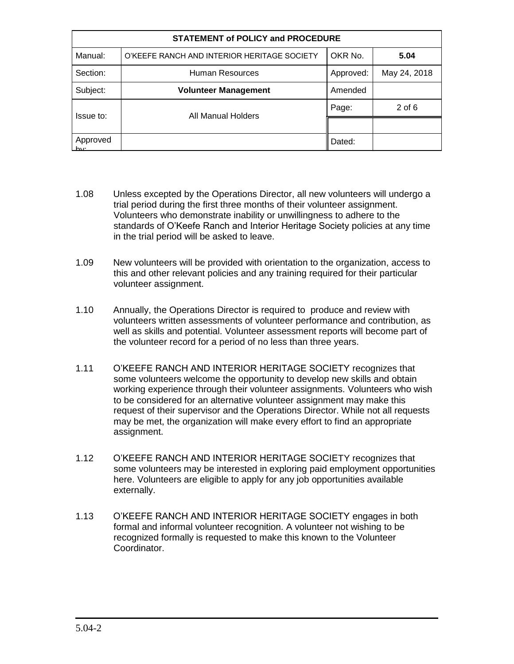| <b>STATEMENT of POLICY and PROCEDURE</b> |                                             |           |              |
|------------------------------------------|---------------------------------------------|-----------|--------------|
| Manual:                                  | O'KEEFE RANCH AND INTERIOR HERITAGE SOCIETY | OKR No.   | 5.04         |
| Section:                                 | Human Resources                             | Approved: | May 24, 2018 |
| Subject:                                 | <b>Volunteer Management</b>                 | Amended   |              |
| Issue to:                                | All Manual Holders                          | Page:     | $2$ of $6$   |
|                                          |                                             |           |              |
| Approved                                 |                                             | Dated:    |              |

- 1.08 Unless excepted by the Operations Director, all new volunteers will undergo a trial period during the first three months of their volunteer assignment. Volunteers who demonstrate inability or unwillingness to adhere to the standards of O'Keefe Ranch and Interior Heritage Society policies at any time in the trial period will be asked to leave.
- 1.09 New volunteers will be provided with orientation to the organization, access to this and other relevant policies and any training required for their particular volunteer assignment.
- 1.10 Annually, the Operations Director is required to produce and review with volunteers written assessments of volunteer performance and contribution, as well as skills and potential. Volunteer assessment reports will become part of the volunteer record for a period of no less than three years.
- 1.11 O'KEEFE RANCH AND INTERIOR HERITAGE SOCIETY recognizes that some volunteers welcome the opportunity to develop new skills and obtain working experience through their volunteer assignments. Volunteers who wish to be considered for an alternative volunteer assignment may make this request of their supervisor and the Operations Director. While not all requests may be met, the organization will make every effort to find an appropriate assignment.
- 1.12 O'KEEFE RANCH AND INTERIOR HERITAGE SOCIETY recognizes that some volunteers may be interested in exploring paid employment opportunities here. Volunteers are eligible to apply for any job opportunities available externally.
- 1.13 O'KEEFE RANCH AND INTERIOR HERITAGE SOCIETY engages in both formal and informal volunteer recognition. A volunteer not wishing to be recognized formally is requested to make this known to the Volunteer Coordinator.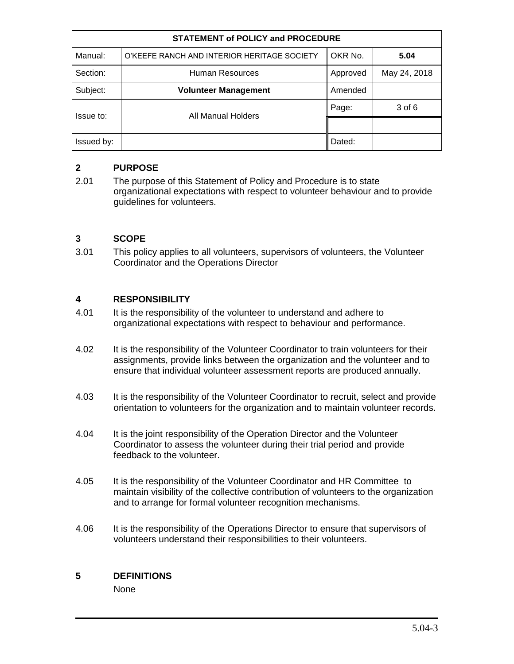| <b>STATEMENT of POLICY and PROCEDURE</b> |                                             |          |              |
|------------------------------------------|---------------------------------------------|----------|--------------|
| Manual:                                  | O'KEEFE RANCH AND INTERIOR HERITAGE SOCIETY | OKR No.  | 5.04         |
| Section:                                 | Human Resources                             | Approved | May 24, 2018 |
| Subject:                                 | <b>Volunteer Management</b>                 | Amended  |              |
| Issue to:                                | All Manual Holders                          | Page:    | 3 of 6       |
|                                          |                                             |          |              |
| Issued by:                               |                                             | Dated:   |              |

## **2 PURPOSE**

2.01 The purpose of this Statement of Policy and Procedure is to state organizational expectations with respect to volunteer behaviour and to provide guidelines for volunteers.

## **3 SCOPE**

3.01 This policy applies to all volunteers, supervisors of volunteers, the Volunteer Coordinator and the Operations Director

## **4 RESPONSIBILITY**

- 4.01 It is the responsibility of the volunteer to understand and adhere to organizational expectations with respect to behaviour and performance.
- 4.02 It is the responsibility of the Volunteer Coordinator to train volunteers for their assignments, provide links between the organization and the volunteer and to ensure that individual volunteer assessment reports are produced annually.
- 4.03 It is the responsibility of the Volunteer Coordinator to recruit, select and provide orientation to volunteers for the organization and to maintain volunteer records.
- 4.04 It is the joint responsibility of the Operation Director and the Volunteer Coordinator to assess the volunteer during their trial period and provide feedback to the volunteer.
- 4.05 It is the responsibility of the Volunteer Coordinator and HR Committee to maintain visibility of the collective contribution of volunteers to the organization and to arrange for formal volunteer recognition mechanisms.
- 4.06 It is the responsibility of the Operations Director to ensure that supervisors of volunteers understand their responsibilities to their volunteers.

## **5 DEFINITIONS**

None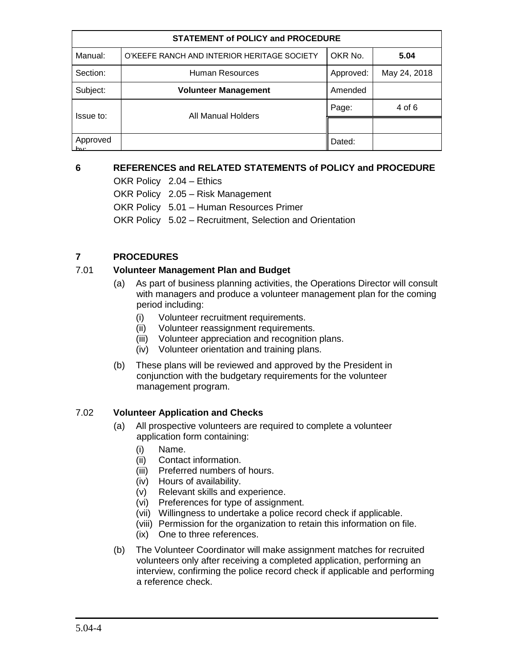| <b>STATEMENT of POLICY and PROCEDURE</b> |                                             |           |              |
|------------------------------------------|---------------------------------------------|-----------|--------------|
| Manual:                                  | O'KEEFE RANCH AND INTERIOR HERITAGE SOCIETY | OKR No.   | 5.04         |
| Section:                                 | Human Resources                             | Approved: | May 24, 2018 |
| Subject:                                 | <b>Volunteer Management</b>                 | Amended   |              |
| Issue to:                                | All Manual Holders                          | Page:     | 4 of 6       |
|                                          |                                             |           |              |
| Approved                                 |                                             | Dated:    |              |

# **6 REFERENCES and RELATED STATEMENTS of POLICY and PROCEDURE**

OKR Policy 2.04 – Ethics OKR Policy 2.05 – Risk Management OKR Policy 5.01 – Human Resources Primer OKR Policy 5.02 – Recruitment, Selection and Orientation

## **7 PROCEDURES**

#### 7.01 **Volunteer Management Plan and Budget**

- (a) As part of business planning activities, the Operations Director will consult with managers and produce a volunteer management plan for the coming period including:
	- (i) Volunteer recruitment requirements.
	- (ii) Volunteer reassignment requirements.
	- (iii) Volunteer appreciation and recognition plans.
	- (iv) Volunteer orientation and training plans.
- (b) These plans will be reviewed and approved by the President in conjunction with the budgetary requirements for the volunteer management program.

## 7.02 **Volunteer Application and Checks**

- (a) All prospective volunteers are required to complete a volunteer application form containing:
	- (i) Name.
	- (ii) Contact information.
	- (iii) Preferred numbers of hours.
	- (iv) Hours of availability.
	- (v) Relevant skills and experience.
	- (vi) Preferences for type of assignment.
	- (vii) Willingness to undertake a police record check if applicable.
	- (viii) Permission for the organization to retain this information on file.
	- (ix) One to three references.
- (b) The Volunteer Coordinator will make assignment matches for recruited volunteers only after receiving a completed application, performing an interview, confirming the police record check if applicable and performing a reference check.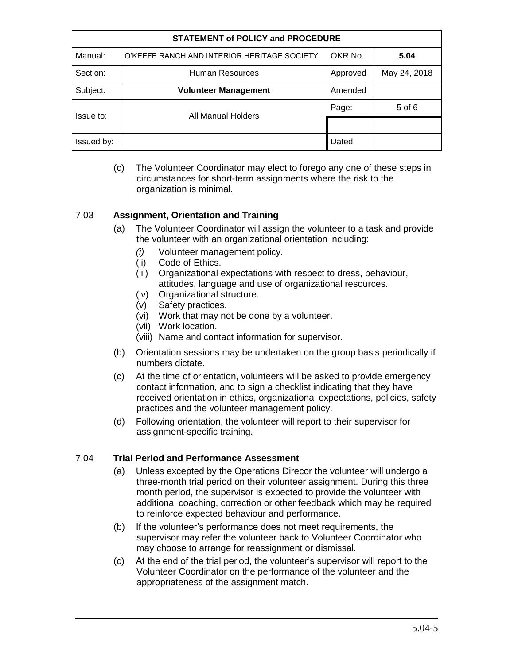| <b>STATEMENT of POLICY and PROCEDURE</b> |                                             |          |              |
|------------------------------------------|---------------------------------------------|----------|--------------|
| Manual:                                  | O'KEEFE RANCH AND INTERIOR HERITAGE SOCIETY | OKR No.  | 5.04         |
| Section:                                 | Human Resources                             | Approved | May 24, 2018 |
| Subject:                                 | <b>Volunteer Management</b>                 | Amended  |              |
| Issue to:                                | All Manual Holders                          | Page:    | 5 of 6       |
|                                          |                                             |          |              |
| Issued by:                               |                                             | Dated:   |              |

(c) The Volunteer Coordinator may elect to forego any one of these steps in circumstances for short-term assignments where the risk to the organization is minimal.

## 7.03 **Assignment, Orientation and Training**

- (a) The Volunteer Coordinator will assign the volunteer to a task and provide the volunteer with an organizational orientation including:
	- *(i)* Volunteer management policy.
	- (ii) Code of Ethics.
	- (iii) Organizational expectations with respect to dress, behaviour, attitudes, language and use of organizational resources.
	- (iv) Organizational structure.
	- (v) Safety practices.
	- (vi) Work that may not be done by a volunteer.
	- (vii) Work location.
	- (viii) Name and contact information for supervisor.
- (b) Orientation sessions may be undertaken on the group basis periodically if numbers dictate.
- (c) At the time of orientation, volunteers will be asked to provide emergency contact information, and to sign a checklist indicating that they have received orientation in ethics, organizational expectations, policies, safety practices and the volunteer management policy.
- (d) Following orientation, the volunteer will report to their supervisor for assignment-specific training.

## 7.04 **Trial Period and Performance Assessment**

- (a) Unless excepted by the Operations Direcor the volunteer will undergo a three-month trial period on their volunteer assignment. During this three month period, the supervisor is expected to provide the volunteer with additional coaching, correction or other feedback which may be required to reinforce expected behaviour and performance.
- (b) If the volunteer's performance does not meet requirements, the supervisor may refer the volunteer back to Volunteer Coordinator who may choose to arrange for reassignment or dismissal.
- (c) At the end of the trial period, the volunteer's supervisor will report to the Volunteer Coordinator on the performance of the volunteer and the appropriateness of the assignment match.